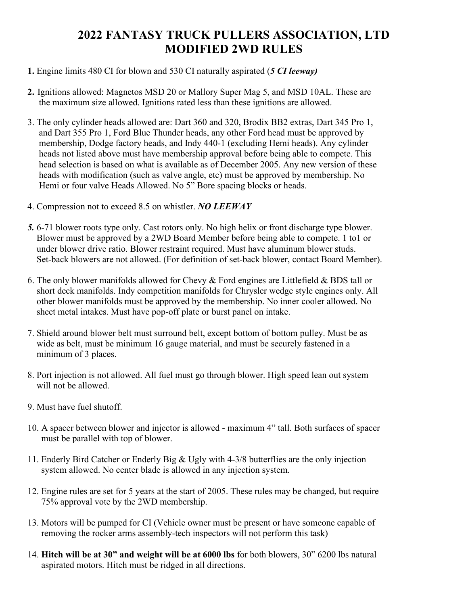## **2022 FANTASY TRUCK PULLERS ASSOCIATION, LTD MODIFIED 2WD RULES**

## **1.** Engine limits 480 CI for blown and 530 CI naturally aspirated (*5 CI leeway)*

- **2.** Ignitions allowed: Magnetos MSD 20 or Mallory Super Mag 5, and MSD 10AL. These are the maximum size allowed. Ignitions rated less than these ignitions are allowed.
- 3. The only cylinder heads allowed are: Dart 360 and 320, Brodix BB2 extras, Dart 345 Pro 1, and Dart 355 Pro 1, Ford Blue Thunder heads, any other Ford head must be approved by membership, Dodge factory heads, and Indy 440-1 (excluding Hemi heads). Any cylinder heads not listed above must have membership approval before being able to compete. This head selection is based on what is available as of December 2005. Any new version of these heads with modification (such as valve angle, etc) must be approved by membership. No Hemi or four valve Heads Allowed. No 5" Bore spacing blocks or heads.
- 4. Compression not to exceed 8.5 on whistler. *NO LEEWAY*
- *5.* 6-71 blower roots type only. Cast rotors only. No high helix or front discharge type blower. Blower must be approved by a 2WD Board Member before being able to compete. 1 to1 or under blower drive ratio. Blower restraint required. Must have aluminum blower studs. Set-back blowers are not allowed. (For definition of set-back blower, contact Board Member).
- 6. The only blower manifolds allowed for Chevy & Ford engines are Littlefield & BDS tall or short deck manifolds. Indy competition manifolds for Chrysler wedge style engines only. All other blower manifolds must be approved by the membership. No inner cooler allowed. No sheet metal intakes. Must have pop-off plate or burst panel on intake.
- 7. Shield around blower belt must surround belt, except bottom of bottom pulley. Must be as wide as belt, must be minimum 16 gauge material, and must be securely fastened in a minimum of 3 places.
- 8. Port injection is not allowed. All fuel must go through blower. High speed lean out system will not be allowed.
- 9. Must have fuel shutoff.
- 10. A spacer between blower and injector is allowed maximum 4" tall. Both surfaces of spacer must be parallel with top of blower.
- 11. Enderly Bird Catcher or Enderly Big & Ugly with 4-3/8 butterflies are the only injection system allowed. No center blade is allowed in any injection system.
- 12. Engine rules are set for 5 years at the start of 2005. These rules may be changed, but require 75% approval vote by the 2WD membership.
- 13. Motors will be pumped for CI (Vehicle owner must be present or have someone capable of removing the rocker arms assembly-tech inspectors will not perform this task)
- 14. **Hitch will be at 30" and weight will be at 6000 lbs** for both blowers, 30" 6200 lbs natural aspirated motors. Hitch must be ridged in all directions.